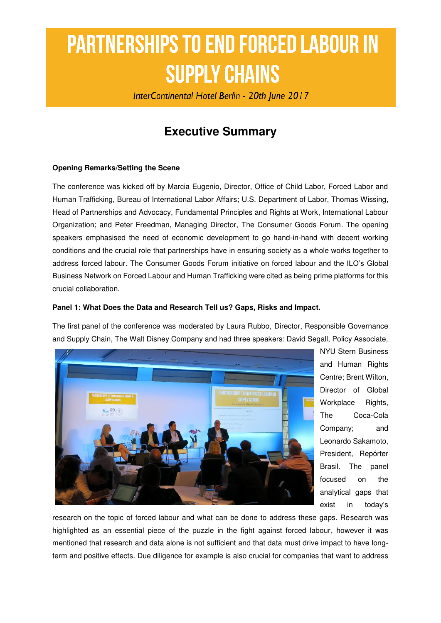# **PARTNERSHIPS TO END FORCED LABOUR IN SUPPLY CHAINS**

InterContinental Hotel Berlin - 20th June 2017

## **Executive Summary**

#### **Opening Remarks/Setting the Scene**

The conference was kicked off by Marcia Eugenio, Director, Office of Child Labor, Forced Labor and Human Trafficking, Bureau of International Labor Affairs; U.S. Department of Labor, Thomas Wissing, Head of Partnerships and Advocacy, Fundamental Principles and Rights at Work, International Labour Organization; and Peter Freedman, Managing Director, The Consumer Goods Forum. The opening speakers emphasised the need of economic development to go hand-in-hand with decent working conditions and the crucial role that partnerships have in ensuring society as a whole works together to address forced labour. The Consumer Goods Forum initiative on forced labour and the ILO's Global Business Network on Forced Labour and Human Trafficking were cited as being prime platforms for this crucial collaboration.

#### **Panel 1: What Does the Data and Research Tell us? Gaps, Risks and Impact.**

The first panel of the conference was moderated by Laura Rubbo, Director, Responsible Governance and Supply Chain, The Walt Disney Company and had three speakers: David Segall, Policy Associate,



NYU Stern Business and Human Rights Centre; Brent Wilton, Director of Global Workplace Rights, The Coca-Cola Company; and Leonardo Sakamoto, President, Repórter Brasil. The panel focused on the analytical gaps that exist in today's

research on the topic of forced labour and what can be done to address these gaps. Research was highlighted as an essential piece of the puzzle in the fight against forced labour, however it was mentioned that research and data alone is not sufficient and that data must drive impact to have longterm and positive effects. Due diligence for example is also crucial for companies that want to address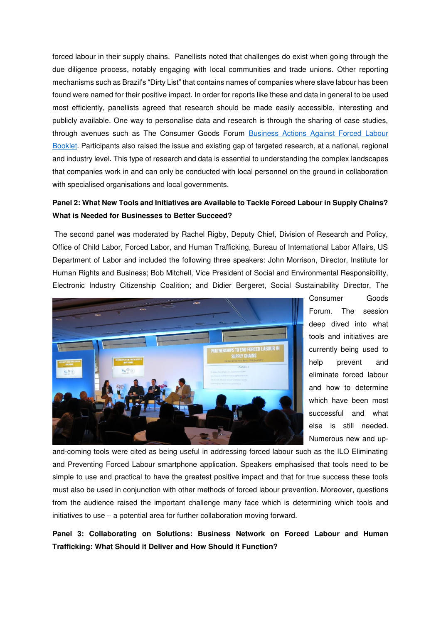forced labour in their supply chains. Panellists noted that challenges do exist when going through the due diligence process, notably engaging with local communities and trade unions. Other reporting mechanisms such as Brazil's "Dirty List" that contains names of companies where slave labour has been found were named for their positive impact. In order for reports like these and data in general to be used most efficiently, panellists agreed that research should be made easily accessible, interesting and publicly available. One way to personalise data and research is through the sharing of case studies, through avenues such as The Consumer Goods Forum [Business Actions Against Forced Labour](http://www.bit.ly/ActionsAgainstForcedLabour)  [Booklet.](http://www.bit.ly/ActionsAgainstForcedLabour) Participants also raised the issue and existing gap of targeted research, at a national, regional and industry level. This type of research and data is essential to understanding the complex landscapes that companies work in and can only be conducted with local personnel on the ground in collaboration with specialised organisations and local governments.

### **Panel 2: What New Tools and Initiatives are Available to Tackle Forced Labour in Supply Chains? What is Needed for Businesses to Better Succeed?**

 The second panel was moderated by Rachel Rigby, Deputy Chief, Division of Research and Policy, Office of Child Labor, Forced Labor, and Human Trafficking, Bureau of International Labor Affairs, US Department of Labor and included the following three speakers: John Morrison, Director, Institute for Human Rights and Business; Bob Mitchell, Vice President of Social and Environmental Responsibility, Electronic Industry Citizenship Coalition; and Didier Bergeret, Social Sustainability Director, The



Consumer Goods Forum. The session deep dived into what tools and initiatives are currently being used to help prevent and eliminate forced labour and how to determine which have been most successful and what else is still needed. Numerous new and up-

and-coming tools were cited as being useful in addressing forced labour such as the ILO Eliminating and Preventing Forced Labour smartphone application. Speakers emphasised that tools need to be simple to use and practical to have the greatest positive impact and that for true success these tools must also be used in conjunction with other methods of forced labour prevention. Moreover, questions from the audience raised the important challenge many face which is determining which tools and initiatives to use – a potential area for further collaboration moving forward.

**Panel 3: Collaborating on Solutions: Business Network on Forced Labour and Human Trafficking: What Should it Deliver and How Should it Function?**